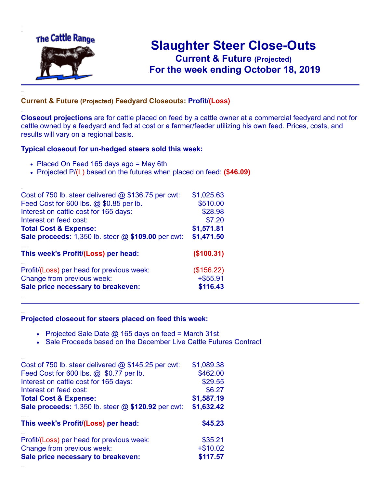

.

..

## **Slaughter Steer Close-Outs Current & Future (Projected)** .**For the week ending October 18, 2019**

## **Current & Future (Projected) Feedyard Closeouts: Profit/(Loss)**

**Closeout projections** are for cattle placed on feed by a cattle owner at a commercial feedyard and not for cattle owned by a feedyard and fed at cost or a farmer/feeder utilizing his own feed. Prices, costs, and results will vary on a regional basis.

## **Typical closeout for un-hedged steers sold this week:**

- Placed On Feed 165 days ago = May 6th
- Projected P/(L) based on the futures when placed on feed: **(\$46.09)**

| Cost of 750 lb. steer delivered $@$ \$136.75 per cwt:       | \$1,025.63  |
|-------------------------------------------------------------|-------------|
| Feed Cost for 600 lbs. @ \$0.85 per lb.                     | \$510.00    |
| Interest on cattle cost for 165 days:                       | \$28.98     |
| Interest on feed cost:                                      | \$7.20      |
| <b>Total Cost &amp; Expense:</b>                            | \$1,571.81  |
| <b>Sale proceeds:</b> 1,350 lb. steer $@$ \$109.00 per cwt: | \$1,471.50  |
| This week's Profit/(Loss) per head:                         | (\$100.31)  |
| Profit/(Loss) per head for previous week:                   | (\$156.22)  |
| Change from previous week:                                  | $+$ \$55.91 |
| Sale price necessary to breakeven:                          | \$116.43    |
|                                                             |             |

## **Projected closeout for steers placed on feed this week:**

- Projected Sale Date  $@$  165 days on feed = March 31st
- Sale Proceeds based on the December Live Cattle Futures Contract

| Cost of 750 lb. steer delivered $@$ \$145.25 per cwt:     | \$1,089.38 |
|-----------------------------------------------------------|------------|
| Feed Cost for 600 lbs. @ \$0.77 per lb.                   | \$462.00   |
| Interest on cattle cost for 165 days:                     | \$29.55    |
| Interest on feed cost:                                    | \$6.27     |
| <b>Total Cost &amp; Expense:</b>                          | \$1,587.19 |
| <b>Sale proceeds:</b> 1,350 lb. steer @ \$120.92 per cwt: | \$1,632.42 |
|                                                           |            |
| This week's Profit/(Loss) per head:                       | \$45.23    |
| Profit/(Loss) per head for previous week:                 | \$35.21    |
| Change from previous week:                                | $+ $10.02$ |
| Sale price necessary to breakeven:                        | \$117.57   |